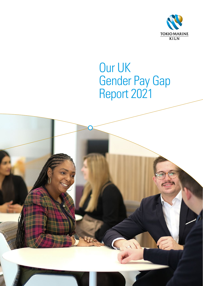

# Our UK Gender Pay Gap Report 2021

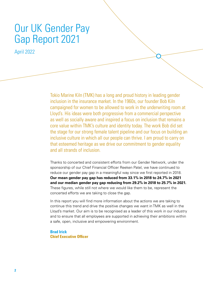# Our UK Gender Pay Gap Report 2021

April 2022

Tokio Marine Kiln (TMK) has a long and proud history in leading gender inclusion in the insurance market. In the 1960s, our founder Bob Kiln campaigned for women to be allowed to work in the underwriting room at Lloyd's. His ideas were both progressive from a commercial perspective as well as socially aware and inspired a focus on inclusion that remains a core value within TMK's culture and identity today. The work Bob did set the stage for our strong female talent pipeline and our focus on building an inclusive culture in which all our people can thrive. I am proud to carry on that esteemed heritage as we drive our commitment to gender equality and all strands of inclusion.

Thanks to concerted and consistent efforts from our Gender Network, under the sponsorship of our Chief Financial Officer Reeken Patel, we have continued to reduce our gender pay gap in a meaningful way since we first reported in 2018. **Our mean gender pay gap has reduced from 33.1% in 2018 to 24.7% in 2021 and our median gender pay gap reducing from 29.2% in 2018 to 25.7% in 2021.**  These figures, while still not where we would like them to be, represent the concerted efforts we are taking to close the gap.

In this report you will find more information about the actions we are taking to continue this trend and drive the positive changes we want in TMK as well in the Lloyd's market. Our aim is to be recognised as a leader of this work in our industry and to ensure that all employees are supported in achieving their ambitions within a safe, open, inclusive and empowering environment.

**Brad Irick Chief Executive Officer**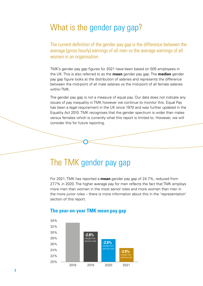### What is the gender pay gap?

The current definition of the gender pay gap is the difference between the average (gross hourly) earnings of all men vs the average earnings of all women in an organisation.

TMK's gender pay gap figures for 2021 have been based on 505 employees in the UK. This is also referred to as the **mean** gender pay gap. The **median** gender pay gap figure looks at the distribution of salaries and represents the difference between the mid-point of all male salaries vs the mid-point of all female salaries within TMK.

The gender pay gap is not a measure of equal pay. Our data does not indicate any issues of pay inequality in TMK however we continue to monitor this. Equal Pay has been a legal requirement in the UK since 1970 and was further updated in the Equality Act 2010. TMK recognises that the gender spectrum is wider than males versus females which is currently what this report is limited to. However, we will consider this for future reporting.

### The TMK gender pay gap

For 2021, TMK has reported a **mean** gender pay gap of 24.7%, reduced from 27.7% in 2020. The higher average pay for men reflects the fact that TMK employs more men than women in the most senior roles and more women than men in the more junior roles – there is more information about this in the 'representation' section of this report.



### **The year-on-year TMK mean pay gap**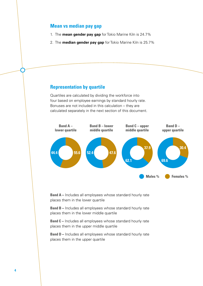#### **Mean vs median pay gap**

- 1. The **mean gender pay gap** for Tokio Marine Kiln is 24.7%
- 2. The **median gender pay gap** for Tokio Marine Kiln is 25.7%

#### **Representation by quartile**

Quartiles are calculated by dividing the workforce into four based on employee earnings by standard hourly rate. Bonuses are not included in this calculation – they are calculated separately in the next section of this document.



**Band A –** Includes all employees whose standard hourly rate places them in the lower quartile

**Band B –** Includes all employees whose standard hourly rate places them in the lower middle quartile

**Band C** – Includes all employees whose standard hourly rate places them in the upper middle quartile

**Band D –** Includes all employees whose standard hourly rate places them in the upper quartile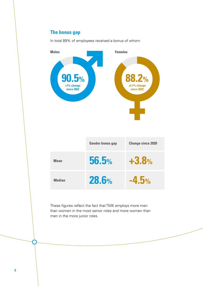### **The bonus gap**

 $5%$ **Males Females +1% change since 2022 +2.1% change since 2022 Mean Median Gender bonus gap Change since 2020 56.5% 28.6% +3.8% -4.5%**

In total 89% of employees received a bonus of whom:

These figures reflect the fact that TMK employs more men than women in the most senior roles and more women than men in the more junior roles.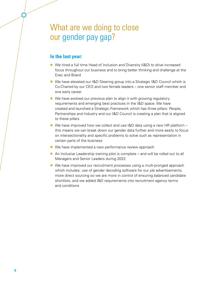### What are we doing to close our gender pay gap?

### **In the last year:**

- **•** We hired a full time Head of Inclusion and Diversity (I&D) to drive increased focus throughout our business and to bring better thinking and challenge at the Exec and Board
- **•** We have elevated our I&D Steering group into a Strategic I&D Council which is Co-Chaired by our CEO and two female leaders – one senior staff member and one early career
- We have evolved our previous plan to align it with growing regulatory requirements and emerging best practices in the I&D space. We have created and launched a Strategic Framework which has three pillars: People, Partnerships and Industry and our I&D Council is creating a plan that is aligned to these pillars
- **•** We have improved how we collect and use I&D data using a new HR platform  $$ this means we can break down our gender data further and more easily to focus on intersectionality and specific problems to solve such as representation in certain parts of the business
- We have implemented a new performance review approach
- **•** An Inclusive Leadership training pilot is complete and will be rolled out to all Managers and Senior Leaders during 2022
- **•** We have improved our recruitment processes using a multi-pronged approach which includes: use of gender decoding software for our job advertisements, more direct sourcing so we are more in control of ensuring balanced candidate shortlists, and we added I&D requirements into recruitment agency terms and conditions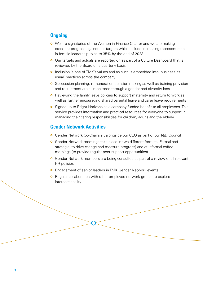### **Ongoing**

- **•** We are signatories of the Women in Finance Charter and we are making excellent progress against our targets which include increasing representation in female leadership roles to 35% by the end of 2023
- **•** Our targets and actuals are reported on as part of a Culture Dashboard that is reviewed by the Board on a quarterly basis
- **o** Inclusion is one of TMK's values and as such is embedded into 'business as usual' practices across the company
- **•** Succession planning, remuneration decision making as well as training provision and recruitment are all monitored through a gender and diversity lens
- **•** Reviewing the family leave policies to support maternity and return to work as well as further encouraging shared parental leave and carer leave requirements
- **•** Signed up to Bright Horizons as a company funded benefit to all employees. This service provides information and practical resources for everyone to support in managing their caring responsibilities for children, adults and the elderly

#### **Gender Network Activities**

- **•** Gender Network Co-Chairs sit alongside our CEO as part of our I&D Council
- **•** Gender Network meetings take place in two different formats: Formal and strategic (to drive change and measure progress) and at informal coffee mornings (to provide regular peer support opportunities)
- **•** Gender Network members are being consulted as part of a review of all relevant HR policies
- **o** Engagement of senior leaders in TMK Gender Network events
- **•** Regular collaboration with other employee network groups to explore intersectionality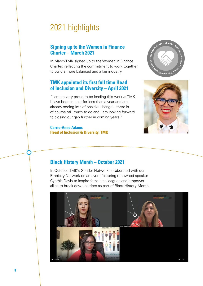## 2021 highlights

### **Signing up to the Women in Finance Charter – March 2021**

In March TMK signed up to the Women in Finance Charter, reflecting the commitment to work together to build a more balanced and a fair industry.

#### **TMK appointed its first full time Head of Inclusion and Diversity – April 2021**

"I am so very proud to be leading this work at TMK. I have been in post for less than a year and am already seeing lots of positive change – there is of course still much to do and I am looking forward to closing our gap further in coming years!"

**Carrie-Anne Adams Head of Inclusion & Diversity, TMK**





#### **Black History Month – October 2021**

In October, TMK's Gender Network collaborated with our Ethnicity Network on an event featuring renowned speaker Cynthia Davis to inspire female colleagues and empower allies to break down barriers as part of Black History Month.

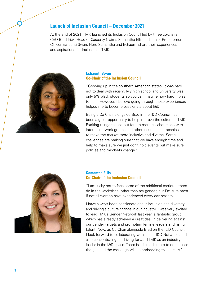#### **Launch of Inclusion Council – December 2021**

At the end of 2021, TMK launched its Inclusion Council led by three co-chairs: CEO Brad Irick, Head of Casualty Claims Samantha Ellis and Junior Procurement Officer Echaunti Swan. Here Samantha and Echaunti share their experiences and aspirations for Inclusion at TMK.



#### **Echaunti Swan Co-Chair of the Inclusion Council**

"Growing up in the southern American states, it was hard not to deal with racism. My high school and university was only 5% black students so you can imagine how hard it was to fit in. However, I believe going through those experiences helped me to become passionate about I&D.

Being a Co-Chair alongside Brad in the I&D Council has been a great opportunity to help improve the culture at TMK. Exciting things to look out for are more collaborations with internal network groups and other insurance companies to make the market more inclusive and diverse. Some challenges are making sure that we have enough time and help to make sure we just don't hold events but make sure policies and mindsets change."



#### **Samantha Ellis Co-Chair of the Inclusion Council**

"I am lucky not to face some of the additional barriers others do in the workplace, other than my gender, but I'm sure most if not all women have experienced every-day sexism.

I have always been passionate about inclusion and diversity and driving a culture change in our industry. I was very excited to lead TMK's Gender Network last year, a fantastic group which has already achieved a great deal in delivering against our gender targets and promoting female leaders and rising talent. Now, as Co-Chair alongside Brad on the I&D Council, I look forward to collaborating with all our I&D Networks and also concentrating on driving forward TMK as an industry leader in the I&D space. There is still much more to do to close the gap and the challenge will be embedding this culture."